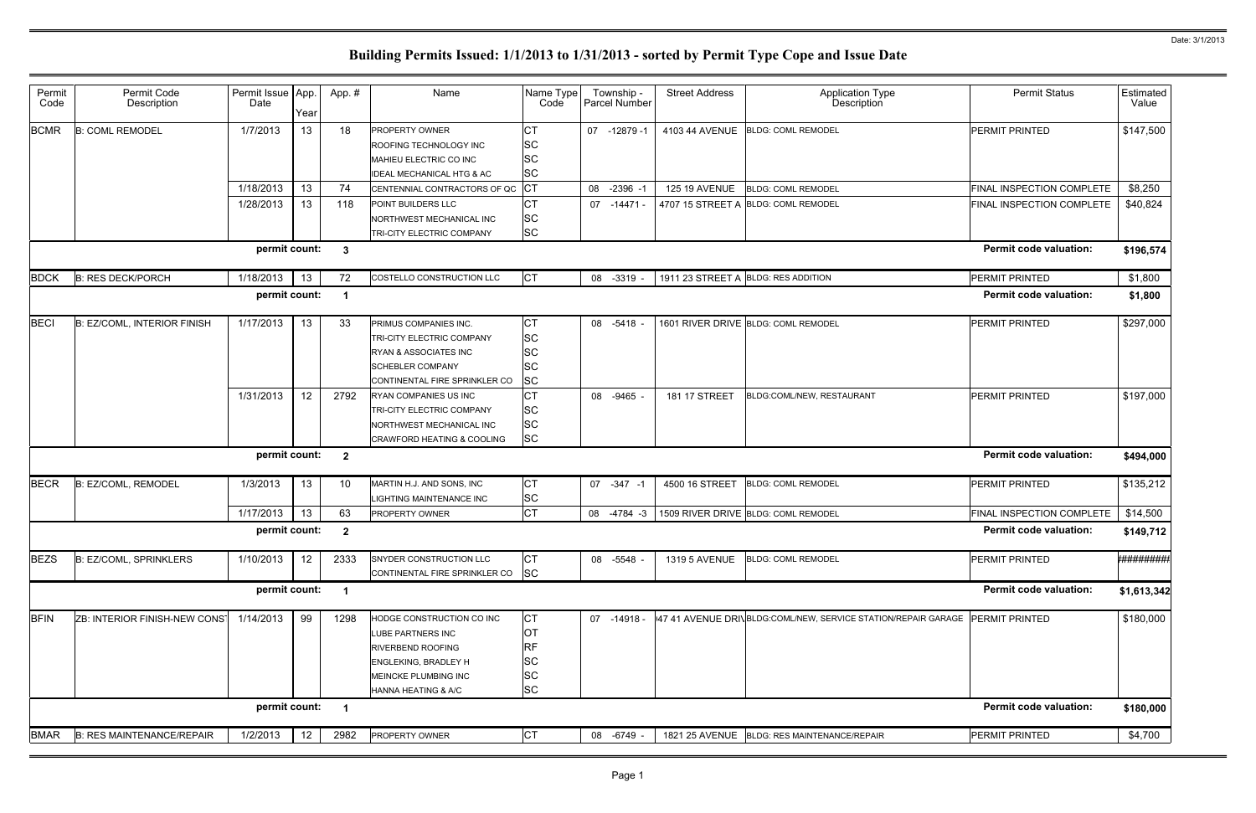| Permit<br>Code | Permit Code<br>Description       | Permit Issue   App.<br>Date | Year            | App.#                    | Name                                                                                                                                                                       | Name Type<br>Code                                             | Township -<br>Parcel Number | <b>Street Address</b> | <b>Application Type</b><br>Description                        | <b>Permit Status</b>          | Estimated<br>Value |
|----------------|----------------------------------|-----------------------------|-----------------|--------------------------|----------------------------------------------------------------------------------------------------------------------------------------------------------------------------|---------------------------------------------------------------|-----------------------------|-----------------------|---------------------------------------------------------------|-------------------------------|--------------------|
| <b>BCMR</b>    | <b>B: COML REMODEL</b>           | 1/7/2013                    | 13              | 18                       | PROPERTY OWNER<br>ROOFING TECHNOLOGY INC<br>MAHIEU ELECTRIC CO INC<br><b>IDEAL MECHANICAL HTG &amp; AC</b>                                                                 | <b>CT</b><br><b>SC</b><br><b>SC</b><br><b>SC</b>              | 07 -12879 -1                |                       | 4103 44 AVENUE BLDG: COML REMODEL                             | <b>PERMIT PRINTED</b>         | \$147,500          |
|                |                                  | 1/18/2013                   | 13              | 74                       | CENTENNIAL CONTRACTORS OF QC                                                                                                                                               | <b>ICT</b>                                                    | 08 -2396 -1                 | <b>125 19 AVENUE</b>  | <b>BLDG: COML REMODEL</b>                                     | FINAL INSPECTION COMPLETE     | \$8,250            |
|                |                                  | 1/28/2013                   | 13              | 118                      | POINT BUILDERS LLC<br>NORTHWEST MECHANICAL INC<br>TRI-CITY ELECTRIC COMPANY                                                                                                | <b>CT</b><br><b>SC</b><br><b>SC</b>                           | 07 -14471 -                 |                       | 4707 15 STREET A BLDG: COML REMODEL                           | FINAL INSPECTION COMPLETE     | \$40,824           |
|                |                                  | permit count:               |                 | - 3                      |                                                                                                                                                                            |                                                               |                             |                       |                                                               | <b>Permit code valuation:</b> | \$196,574          |
| <b>BDCK</b>    | <b>B: RES DECK/PORCH</b>         | 1/18/2013                   | 13              | 72                       | COSTELLO CONSTRUCTION LLC                                                                                                                                                  | <b>CT</b>                                                     | 08 -3319                    |                       | 1911 23 STREET A BLDG: RES ADDITION                           | PERMIT PRINTED                | \$1,800            |
|                |                                  | permit count:               |                 | - 1                      |                                                                                                                                                                            |                                                               |                             |                       |                                                               | <b>Permit code valuation:</b> | \$1,800            |
| <b>BECI</b>    | B: EZ/COML, INTERIOR FINISH      | 1/17/2013                   | 13              | 33                       | PRIMUS COMPANIES INC.<br>TRI-CITY ELECTRIC COMPANY<br><b>RYAN &amp; ASSOCIATES INC</b><br><b>SCHEBLER COMPANY</b><br>CONTINENTAL FIRE SPRINKLER CO                         | <b>CT</b><br><b>SC</b><br><b>SC</b><br><b>SC</b><br><b>SC</b> | 08 -5418                    |                       | 1601 RIVER DRIVE BLDG: COML REMODEL                           | PERMIT PRINTED                | \$297,000          |
|                |                                  | 1/31/2013                   | 12 <sup>°</sup> | 2792                     | RYAN COMPANIES US INC<br>TRI-CITY ELECTRIC COMPANY<br>NORTHWEST MECHANICAL INC<br>CRAWFORD HEATING & COOLING                                                               | <b>CT</b><br><b>SC</b><br><b>SC</b><br><b>SC</b>              | 08 -9465                    | 181 17 STREET         | BLDG:COML/NEW, RESTAURANT                                     | PERMIT PRINTED                | \$197,000          |
|                |                                  | permit count:               |                 | $\overline{\phantom{a}}$ |                                                                                                                                                                            |                                                               |                             |                       |                                                               | <b>Permit code valuation:</b> | \$494,000          |
| <b>BECR</b>    | B: EZ/COML, REMODEL              | 1/3/2013                    | 13              | 10                       | MARTIN H.J. AND SONS, INC<br>LIGHTING MAINTENANCE INC                                                                                                                      | <b>CT</b><br><b>SC</b>                                        | 07 -347 -1                  | 4500 16 STREET        | <b>BLDG: COML REMODEL</b>                                     | <b>PERMIT PRINTED</b>         | \$135,212          |
|                |                                  | 1/17/2013                   | 13              | 63                       | PROPERTY OWNER                                                                                                                                                             | <b>CT</b>                                                     | 08 -4784 -3                 |                       | 1509 RIVER DRIVE BLDG: COML REMODEL                           | FINAL INSPECTION COMPLETE     | \$14,500           |
|                |                                  | permit count:               |                 | $\mathbf{2}$             |                                                                                                                                                                            |                                                               |                             |                       |                                                               | <b>Permit code valuation:</b> | \$149,712          |
| <b>BEZS</b>    | B: EZ/COML, SPRINKLERS           | 1/10/2013                   | 12              | 2333                     | SNYDER CONSTRUCTION LLC<br>CONTINENTAL FIRE SPRINKLER CO                                                                                                                   | <b>CT</b><br><b>SC</b>                                        | 08 -5548                    | 1319 5 AVENUE         | <b>BLDG: COML REMODEL</b>                                     | PERMIT PRINTED                | *#########         |
|                |                                  | permit count:               |                 | $\overline{\mathbf{1}}$  |                                                                                                                                                                            |                                                               |                             |                       |                                                               | <b>Permit code valuation:</b> | \$1,613,342        |
| <b>BFIN</b>    | ZB: INTERIOR FINISH-NEW CONST    | 1/14/2013                   | 99              | 1298                     | HODGE CONSTRUCTION CO INC<br>LUBE PARTNERS INC<br><b>RIVERBEND ROOFING</b><br><b>ENGLEKING, BRADLEY H</b><br><b>MEINCKE PLUMBING INC</b><br><b>HANNA HEATING &amp; A/C</b> | <b>CT</b><br>ЮT<br>RF<br><b>SC</b><br><b>SC</b><br><b>SC</b>  | 07 -14918 -                 |                       | 47 41 AVENUE DRIVBLDG:COML/NEW, SERVICE STATION/REPAIR GARAGE | <b>PERMIT PRINTED</b>         | \$180,000          |
|                |                                  | permit count:               |                 | $\overline{\mathbf{1}}$  |                                                                                                                                                                            |                                                               |                             |                       |                                                               | <b>Permit code valuation:</b> | \$180,000          |
| <b>BMAR</b>    | <b>B: RES MAINTENANCE/REPAIR</b> | 1/2/2013                    | 12              | 2982                     | PROPERTY OWNER                                                                                                                                                             | IСТ                                                           | 08 -6749                    |                       | 1821 25 AVENUE   BLDG: RES MAINTENANCE/REPAIR                 | PERMIT PRINTED                | \$4,700            |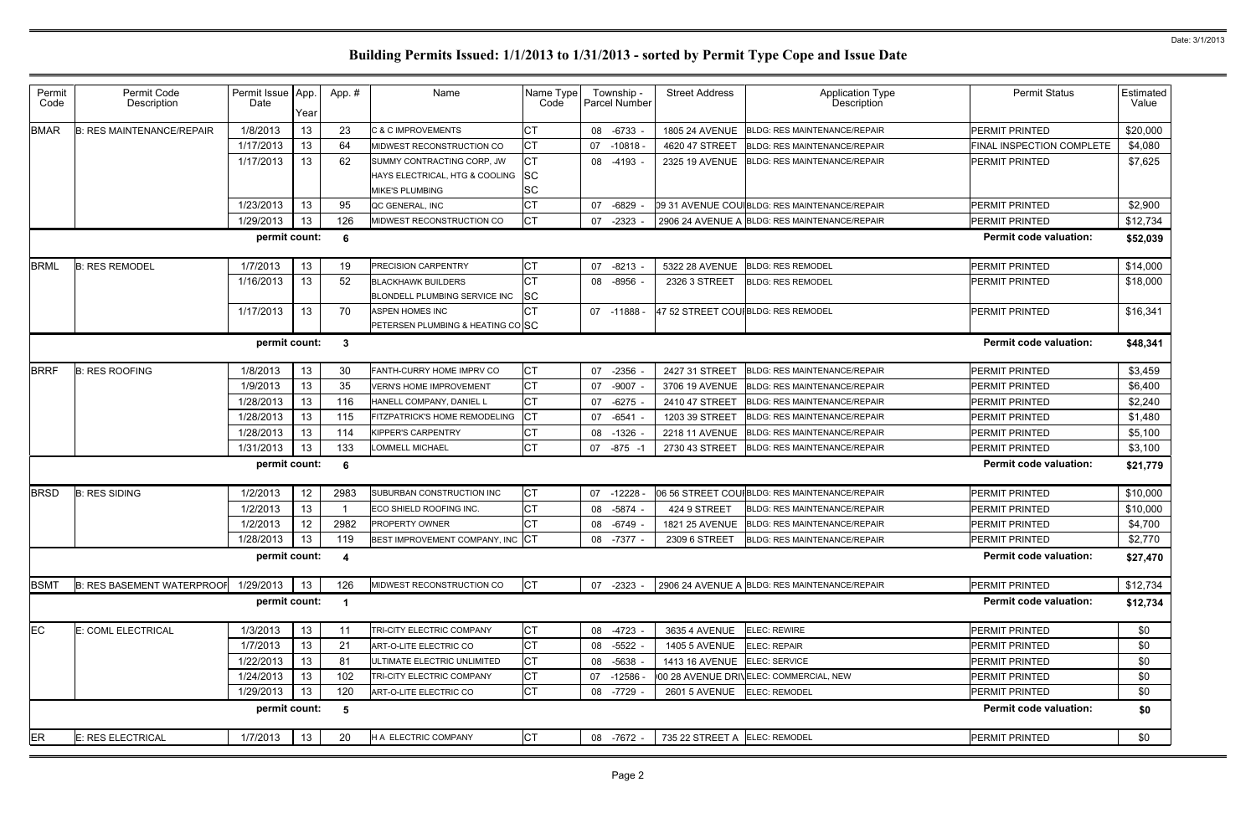| Permit<br>Code | Permit Code<br>Description        | Permit Issue App.<br>Date | Year | App.#                   | Name                                                    | Name Type<br>Code | Township -<br><b>Parcel Number</b> | <b>Street Address</b>              | <b>Application Type</b><br>Description        | <b>Permit Status</b>          | Estimated<br>Value |
|----------------|-----------------------------------|---------------------------|------|-------------------------|---------------------------------------------------------|-------------------|------------------------------------|------------------------------------|-----------------------------------------------|-------------------------------|--------------------|
| <b>BMAR</b>    | <b>B: RES MAINTENANCE/REPAIR</b>  | 1/8/2013                  | 13   | 23                      | C & C IMPROVEMENTS                                      | CТ                | 08 -6733                           |                                    | 1805 24 AVENUE   BLDG: RES MAINTENANCE/REPAIR | PERMIT PRINTED                | \$20,000           |
|                |                                   | 1/17/2013                 | 13   | 64                      | MIDWEST RECONSTRUCTION CO                               | <b>CT</b>         | 07 -10818                          | 4620 47 STREET                     | <b>BLDG: RES MAINTENANCE/REPAIR</b>           | FINAL INSPECTION COMPLETE     | \$4,080            |
|                |                                   | 1/17/2013                 | 13   | 62                      | SUMMY CONTRACTING CORP, JW                              |                   | 08 -4193                           |                                    | 2325 19 AVENUE BLDG: RES MAINTENANCE/REPAIR   | <b>PERMIT PRINTED</b>         | \$7,625            |
|                |                                   |                           |      |                         | HAYS ELECTRICAL, HTG & COOLING                          | <b>SC</b>         |                                    |                                    |                                               |                               |                    |
|                |                                   |                           |      |                         | <b>MIKE'S PLUMBING</b>                                  | <b>SC</b>         |                                    |                                    |                                               |                               |                    |
|                |                                   | 1/23/2013                 | 13   | 95                      | QC GENERAL, INC                                         |                   | 07 -6829                           |                                    | 09 31 AVENUE COU BLDG: RES MAINTENANCE/REPAIR | <b>PERMIT PRINTED</b>         | \$2,900            |
|                |                                   | 1/29/2013                 | 13   | 126                     | MIDWEST RECONSTRUCTION CO                               | <b>CT</b>         | 07 -2323                           |                                    | 2906 24 AVENUE A BLDG: RES MAINTENANCE/REPAIR | <b>PERMIT PRINTED</b>         | \$12,734           |
|                |                                   | permit count:             |      | - 6                     |                                                         |                   |                                    |                                    |                                               | <b>Permit code valuation:</b> | \$52,039           |
| <b>BRML</b>    | <b>B: RES REMODEL</b>             | 1/7/2013                  | 13   | 19                      | <b>PRECISION CARPENTRY</b>                              | СT                | 07 -8213                           | 5322 28 AVENUE                     | <b>BLDG: RES REMODEL</b>                      | PERMIT PRINTED                | \$14,000           |
|                |                                   | 1/16/2013                 | 13   | 52                      | <b>BLACKHAWK BUILDERS</b>                               |                   | 08 -8956                           | 2326 3 STREET                      | <b>BLDG: RES REMODEL</b>                      | <b>PERMIT PRINTED</b>         | \$18,000           |
|                |                                   |                           |      |                         | BLONDELL PLUMBING SERVICE INC                           | <b>ISC</b>        |                                    |                                    |                                               |                               |                    |
|                |                                   | 1/17/2013                 | 13   | 70                      | <b>ASPEN HOMES INC</b>                                  |                   | 07 -11888                          | 47 52 STREET COUIBLDG: RES REMODEL |                                               | <b>PERMIT PRINTED</b>         | \$16,341           |
|                |                                   |                           |      |                         | PETERSEN PLUMBING & HEATING CO SC                       |                   |                                    |                                    |                                               |                               |                    |
|                |                                   | permit count:             |      | $\overline{\mathbf{3}}$ |                                                         |                   |                                    |                                    |                                               | <b>Permit code valuation:</b> | \$48,341           |
| <b>BRRF</b>    | <b>B: RES ROOFING</b>             | 1/8/2013                  | 13   | 30                      | FANTH-CURRY HOME IMPRV CO                               | <b>CT</b>         | 07 -2356                           | 2427 31 STREET                     | <b>BLDG: RES MAINTENANCE/REPAIR</b>           | <b>PERMIT PRINTED</b>         | \$3,459            |
|                |                                   | 1/9/2013                  | 13   | 35                      | <b>VERN'S HOME IMPROVEMENT</b>                          | <b>CT</b>         | 07 -9007                           | 3706 19 AVENUE                     | <b>BLDG: RES MAINTENANCE/REPAIR</b>           | PERMIT PRINTED                | \$6,400            |
|                |                                   | 1/28/2013                 | 13   | 116                     | HANELL COMPANY, DANIEL L                                | <b>CT</b>         | 07 -6275                           | 2410 47 STREET                     | <b>BLDG: RES MAINTENANCE/REPAIR</b>           | PERMIT PRINTED                | \$2,240            |
|                |                                   | 1/28/2013                 | 13   | 115                     | <b>FITZPATRICK'S HOME REMODELING</b>                    |                   | 07 -6541                           | 1203 39 STREET                     | <b>BLDG: RES MAINTENANCE/REPAIR</b>           | <b>PERMIT PRINTED</b>         | \$1,480            |
|                |                                   | 1/28/2013                 | 13   | 114                     | <b>KIPPER'S CARPENTRY</b>                               | <b>CT</b>         | 08 -1326                           | <b>2218 11 AVENUE</b>              | <b>BLDG: RES MAINTENANCE/REPAIR</b>           | PERMIT PRINTED                | \$5,100            |
|                |                                   | 1/31/2013                 | 13   | 133                     | <b>LOMMELL MICHAEL</b>                                  | <b>CT</b>         | -875 -1<br>07                      | 2730 43 STREET                     | <b>BLDG: RES MAINTENANCE/REPAIR</b>           | PERMIT PRINTED                | \$3,100            |
|                |                                   | permit count:             |      | - 6                     |                                                         |                   |                                    |                                    |                                               | <b>Permit code valuation:</b> | \$21,779           |
| <b>BRSD</b>    | <b>B: RES SIDING</b>              | 1/2/2013                  | 12   | 2983                    | SUBURBAN CONSTRUCTION INC                               | <b>CT</b>         | 07 -12228                          |                                    | 06 56 STREET COUIBLDG: RES MAINTENANCE/REPAIR | <b>PERMIT PRINTED</b>         | \$10,000           |
|                |                                   | 1/2/2013                  | 13   |                         | ECO SHIELD ROOFING INC.                                 | <b>CT</b>         | 08 -5874                           | 424 9 STREET                       | <b>BLDG: RES MAINTENANCE/REPAIR</b>           | <b>PERMIT PRINTED</b>         | \$10,000           |
|                |                                   | 1/2/2013                  | 12   | 2982                    | PROPERTY OWNER                                          | <b>CT</b>         | 08 -6749                           |                                    | 1821 25 AVENUE   BLDG: RES MAINTENANCE/REPAIR | PERMIT PRINTED                | \$4,700            |
|                |                                   |                           |      |                         | 1/28/2013   13   119   BEST IMPROVEMENT COMPANY, INC CT |                   | $08 - 7377 -$                      |                                    | 2309 6 STREET  BLDG: RES MAINTENANCE/REPAIR   | PERMIT PRINTED                | \$2,770            |
|                |                                   | permit count: 4           |      |                         |                                                         |                   |                                    |                                    |                                               | <b>Permit code valuation:</b> | \$27,470           |
| <b>BSMT</b>    | <b>B: RES BASEMENT WATERPROOF</b> | 1/29/2013                 | 13   | 126                     | MIDWEST RECONSTRUCTION CO                               | <b>CT</b>         | 07 -2323 -                         |                                    | 2906 24 AVENUE A BLDG: RES MAINTENANCE/REPAIR | PERMIT PRINTED                | \$12,734           |
|                |                                   | permit count:             |      | $\blacksquare$          |                                                         |                   |                                    |                                    |                                               | <b>Permit code valuation:</b> | \$12,734           |
| <b>EC</b>      | E: COML ELECTRICAL                | 1/3/2013                  | 13   | -11                     | TRI-CITY ELECTRIC COMPANY                               | IСТ               | 08 -4723                           | 3635 4 AVENUE ELEC: REWIRE         |                                               | PERMIT PRINTED                | \$0                |
|                |                                   | 1/7/2013                  | 13   | 21                      | ART-O-LITE ELECTRIC CO                                  | СT                | 08 -5522                           | <b>1405 5 AVENUE</b>               | <b>ELEC: REPAIR</b>                           | <b>PERMIT PRINTED</b>         | \$0                |
|                |                                   | 1/22/2013                 | 13   | 81                      | ULTIMATE ELECTRIC UNLIMITED                             | СT                | 08 -5638                           | 1413 16 AVENUE ELEC: SERVICE       |                                               | PERMIT PRINTED                | \$0                |
|                |                                   | 1/24/2013                 | 13   | 102                     | TRI-CITY ELECTRIC COMPANY                               | СT                | 07 -12586                          |                                    | 00 28 AVENUE DRIVELEC: COMMERCIAL, NEW        | <b>PERMIT PRINTED</b>         | \$0                |
|                |                                   | 1/29/2013                 | 13   | 120                     | ART-O-LITE ELECTRIC CO                                  | <b>CT</b>         | 08 -7729                           | 2601 5 AVENUE ELEC: REMODEL        |                                               | PERMIT PRINTED                | \$0                |
|                |                                   | permit count:             |      | - 5                     |                                                         |                   |                                    |                                    |                                               | <b>Permit code valuation:</b> | \$0                |
| <b>ER</b>      | <b>E: RES ELECTRICAL</b>          | 1/7/2013                  | 13   | 20                      | H A ELECTRIC COMPANY                                    | IСТ               | 08 -7672 -                         | 735 22 STREET A ELEC: REMODEL      |                                               | PERMIT PRINTED                | \$0                |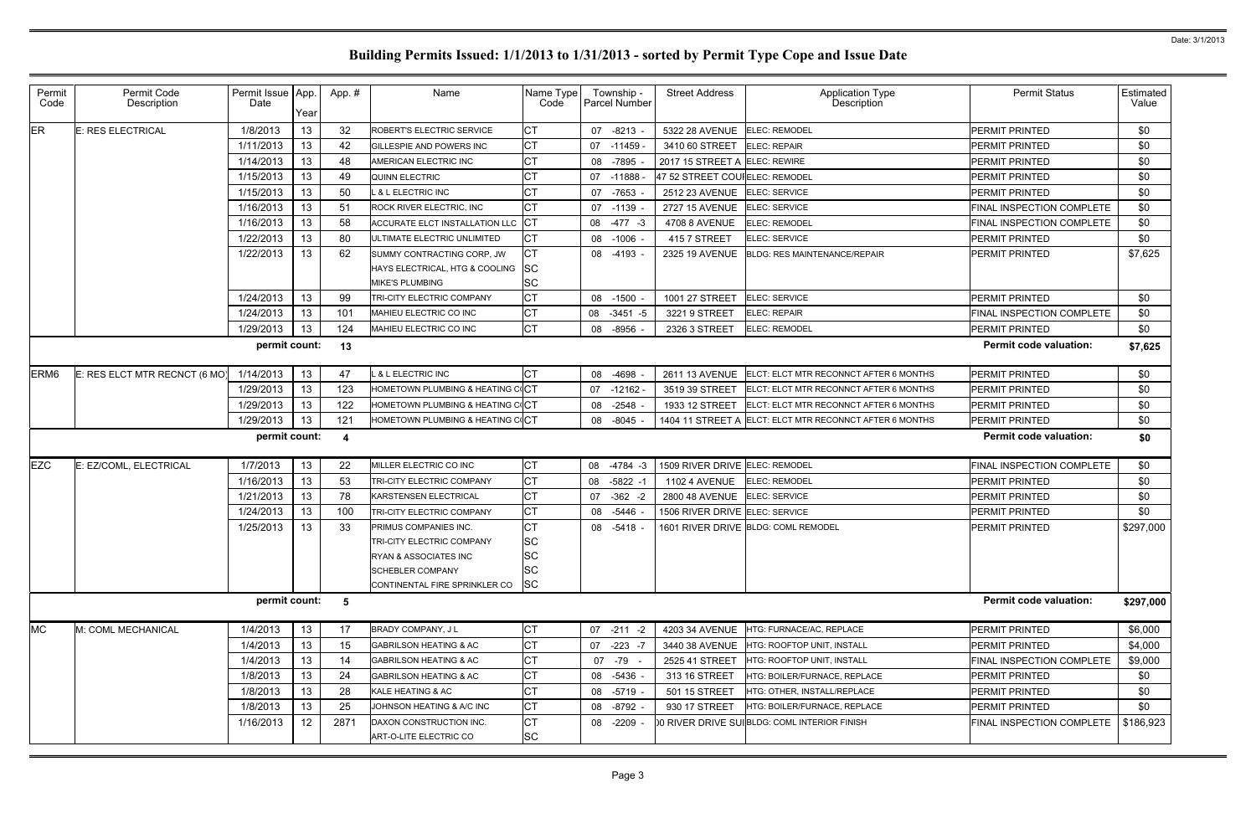| ER<br>32<br>13<br>E: RES ELECTRICAL<br>1/8/2013<br>СT<br>ROBERT'S ELECTRIC SERVICE<br>07 -8213<br>5322 28 AVENUE<br><b>ELEC: REMODEL</b><br>13<br>1/11/2013<br>42<br><b>CT</b><br>3410 60 STREET<br>GILLESPIE AND POWERS INC<br>07 -11459<br><b>ELEC: REPAIR</b><br>13<br>1/14/2013<br>48<br>СT<br>08 -7895<br>2017 15 STREET A ELEC: REWIRE<br>AMERICAN ELECTRIC INC<br>1/15/2013<br>13<br>49<br><b>QUINN ELECTRIC</b><br>07 -11888<br>47 52 STREET COUIELEC: REMODEL<br>1/15/2013<br>13<br>50<br>& L ELECTRIC INC<br>07 -7653<br>2512 23 AVENUE<br>ELEC: SERVICE<br>13<br>1/16/2013<br><b>CT</b><br>51<br><b>ROCK RIVER ELECTRIC, INC</b><br>ELEC: SERVICE<br>07 -1139<br>2727 15 AVENUE<br>13<br>58<br>1/16/2013<br><b>ICT</b><br>ACCURATE ELCT INSTALLATION LLC<br>08 -477 -3<br>4708 8 AVENUE<br><b>ELEC: REMODEL</b><br>13<br>1/22/2013<br>СT<br>80<br>ULTIMATE ELECTRIC UNLIMITED<br>08 -1006<br>415 7 STREET<br><b>ELEC: SERVICE</b><br>13<br>СT<br>1/22/2013<br>62<br>SUMMY CONTRACTING CORP, JW<br><b>BLDG: RES MAINTENANCE/REPAIR</b><br>08 -4193<br><b>2325 19 AVENUE</b><br><b>SC</b><br>HAYS ELECTRICAL, HTG & COOLING<br><b>SC</b><br><b>MIKE'S PLUMBING</b><br>13<br>1/24/2013<br>99<br>TRI-CITY ELECTRIC COMPANY<br>ELEC: SERVICE<br>08 -1500<br>1001 27 STREET<br><b>CT</b><br>13<br>1/24/2013<br>101<br>MAHIEU ELECTRIC CO INC<br>08 -3451 -5<br>3221 9 STREET<br><b>ELEC: REPAIR</b><br><b>ICT</b><br>13<br>1/29/2013<br>124<br>MAHIEU ELECTRIC CO INC<br>08 -8956<br>2326 3 STREET<br><b>ELEC: REMODEL</b><br>permit count:<br>13<br>1/14/2013<br>13<br>ERM <sub>6</sub><br>E: RES ELCT MTR RECNCT (6 MO)<br>47<br><b>&amp; L ELECTRIC INC</b><br>-4698<br>2611 13 AVENUE<br>ELCT: ELCT MTR RECONNCT AFTER 6 MONTHS<br>08<br>13<br>123<br>1/29/2013<br>HOMETOWN PLUMBING & HEATING COCT<br>$-12162$<br>ELCT: ELCT MTR RECONNCT AFTER 6 MONTHS<br>07<br>3519 39 STREET<br>1/29/2013<br>13<br>122<br>HOMETOWN PLUMBING & HEATING COCT<br>$-2548$<br>08<br>1933 12 STREET<br>ELCT: ELCT MTR RECONNCT AFTER 6 MONTHS<br>1/29/2013<br>13<br>121<br>HOMETOWN PLUMBING & HEATING COCT<br>08 -8045<br>1404 11 STREET A ELCT: ELCT MTR RECONNCT AFTER 6 MONTHS<br>permit count:<br>-4<br>13<br><b>EZC</b><br>1/7/2013<br>22<br><b>CT</b><br>E: EZ/COML, ELECTRICAL<br>1509 RIVER DRIVE ELEC: REMODEL<br>MILLER ELECTRIC CO INC<br>08 -4784 -3<br>13<br>1/16/2013<br>53<br>08 -5822 -1<br><b>1102 4 AVENUE</b><br>TRI-CITY ELECTRIC COMPANY<br><b>ELEC: REMODEL</b><br>13<br>1/21/2013<br>78<br>$-362 -2$<br>2800 48 AVENUE<br><b>KARSTENSEN ELECTRICAL</b><br>07<br>ELEC: SERVICE<br>13<br>100<br>1/24/2013<br>СT<br>-5446<br>1506 RIVER DRIVE ELEC: SERVICE<br>TRI-CITY ELECTRIC COMPANY<br>08<br>1/25/2013<br>13<br>33<br>08 -5418<br>1601 RIVER DRIVE BLDG: COML REMODEL<br>PRIMUS COMPANIES INC.<br><b>SC</b><br>TRI-CITY ELECTRIC COMPANY<br><b>SC</b><br><b>RYAN &amp; ASSOCIATES INC</b> | PERMIT PRINTED<br>PERMIT PRINTED<br>PERMIT PRINTED<br>PERMIT PRINTED<br>PERMIT PRINTED<br>FINAL INSPECTION COMPLETE<br>FINAL INSPECTION COMPLETE<br>PERMIT PRINTED<br>PERMIT PRINTED<br>PERMIT PRINTED<br>FINAL INSPECTION COMPLETE<br>PERMIT PRINTED<br><b>Permit code valuation:</b><br>PERMIT PRINTED<br>PERMIT PRINTED<br>PERMIT PRINTED<br>PERMIT PRINTED | \$0<br>\$0<br>\$0<br>\$0<br>\$0<br>\$0<br>\$0<br>\$0<br>\$7,625<br>\$0<br>\$0<br>\$0<br>\$7,625<br>\$0<br>\$0<br>\$0<br>\$0 |
|-------------------------------------------------------------------------------------------------------------------------------------------------------------------------------------------------------------------------------------------------------------------------------------------------------------------------------------------------------------------------------------------------------------------------------------------------------------------------------------------------------------------------------------------------------------------------------------------------------------------------------------------------------------------------------------------------------------------------------------------------------------------------------------------------------------------------------------------------------------------------------------------------------------------------------------------------------------------------------------------------------------------------------------------------------------------------------------------------------------------------------------------------------------------------------------------------------------------------------------------------------------------------------------------------------------------------------------------------------------------------------------------------------------------------------------------------------------------------------------------------------------------------------------------------------------------------------------------------------------------------------------------------------------------------------------------------------------------------------------------------------------------------------------------------------------------------------------------------------------------------------------------------------------------------------------------------------------------------------------------------------------------------------------------------------------------------------------------------------------------------------------------------------------------------------------------------------------------------------------------------------------------------------------------------------------------------------------------------------------------------------------------------------------------------------------------------------------------------------------------------------------------------------------------------------------------------------------------------------------------------------------------------------------------------------------------------------------------------------------------------------------------------------------------------------------------------------------------------------------------------------------------------------------|----------------------------------------------------------------------------------------------------------------------------------------------------------------------------------------------------------------------------------------------------------------------------------------------------------------------------------------------------------------|-----------------------------------------------------------------------------------------------------------------------------|
|                                                                                                                                                                                                                                                                                                                                                                                                                                                                                                                                                                                                                                                                                                                                                                                                                                                                                                                                                                                                                                                                                                                                                                                                                                                                                                                                                                                                                                                                                                                                                                                                                                                                                                                                                                                                                                                                                                                                                                                                                                                                                                                                                                                                                                                                                                                                                                                                                                                                                                                                                                                                                                                                                                                                                                                                                                                                                                             |                                                                                                                                                                                                                                                                                                                                                                |                                                                                                                             |
|                                                                                                                                                                                                                                                                                                                                                                                                                                                                                                                                                                                                                                                                                                                                                                                                                                                                                                                                                                                                                                                                                                                                                                                                                                                                                                                                                                                                                                                                                                                                                                                                                                                                                                                                                                                                                                                                                                                                                                                                                                                                                                                                                                                                                                                                                                                                                                                                                                                                                                                                                                                                                                                                                                                                                                                                                                                                                                             |                                                                                                                                                                                                                                                                                                                                                                |                                                                                                                             |
|                                                                                                                                                                                                                                                                                                                                                                                                                                                                                                                                                                                                                                                                                                                                                                                                                                                                                                                                                                                                                                                                                                                                                                                                                                                                                                                                                                                                                                                                                                                                                                                                                                                                                                                                                                                                                                                                                                                                                                                                                                                                                                                                                                                                                                                                                                                                                                                                                                                                                                                                                                                                                                                                                                                                                                                                                                                                                                             |                                                                                                                                                                                                                                                                                                                                                                |                                                                                                                             |
|                                                                                                                                                                                                                                                                                                                                                                                                                                                                                                                                                                                                                                                                                                                                                                                                                                                                                                                                                                                                                                                                                                                                                                                                                                                                                                                                                                                                                                                                                                                                                                                                                                                                                                                                                                                                                                                                                                                                                                                                                                                                                                                                                                                                                                                                                                                                                                                                                                                                                                                                                                                                                                                                                                                                                                                                                                                                                                             |                                                                                                                                                                                                                                                                                                                                                                |                                                                                                                             |
|                                                                                                                                                                                                                                                                                                                                                                                                                                                                                                                                                                                                                                                                                                                                                                                                                                                                                                                                                                                                                                                                                                                                                                                                                                                                                                                                                                                                                                                                                                                                                                                                                                                                                                                                                                                                                                                                                                                                                                                                                                                                                                                                                                                                                                                                                                                                                                                                                                                                                                                                                                                                                                                                                                                                                                                                                                                                                                             |                                                                                                                                                                                                                                                                                                                                                                |                                                                                                                             |
|                                                                                                                                                                                                                                                                                                                                                                                                                                                                                                                                                                                                                                                                                                                                                                                                                                                                                                                                                                                                                                                                                                                                                                                                                                                                                                                                                                                                                                                                                                                                                                                                                                                                                                                                                                                                                                                                                                                                                                                                                                                                                                                                                                                                                                                                                                                                                                                                                                                                                                                                                                                                                                                                                                                                                                                                                                                                                                             |                                                                                                                                                                                                                                                                                                                                                                |                                                                                                                             |
|                                                                                                                                                                                                                                                                                                                                                                                                                                                                                                                                                                                                                                                                                                                                                                                                                                                                                                                                                                                                                                                                                                                                                                                                                                                                                                                                                                                                                                                                                                                                                                                                                                                                                                                                                                                                                                                                                                                                                                                                                                                                                                                                                                                                                                                                                                                                                                                                                                                                                                                                                                                                                                                                                                                                                                                                                                                                                                             |                                                                                                                                                                                                                                                                                                                                                                |                                                                                                                             |
|                                                                                                                                                                                                                                                                                                                                                                                                                                                                                                                                                                                                                                                                                                                                                                                                                                                                                                                                                                                                                                                                                                                                                                                                                                                                                                                                                                                                                                                                                                                                                                                                                                                                                                                                                                                                                                                                                                                                                                                                                                                                                                                                                                                                                                                                                                                                                                                                                                                                                                                                                                                                                                                                                                                                                                                                                                                                                                             |                                                                                                                                                                                                                                                                                                                                                                |                                                                                                                             |
|                                                                                                                                                                                                                                                                                                                                                                                                                                                                                                                                                                                                                                                                                                                                                                                                                                                                                                                                                                                                                                                                                                                                                                                                                                                                                                                                                                                                                                                                                                                                                                                                                                                                                                                                                                                                                                                                                                                                                                                                                                                                                                                                                                                                                                                                                                                                                                                                                                                                                                                                                                                                                                                                                                                                                                                                                                                                                                             |                                                                                                                                                                                                                                                                                                                                                                |                                                                                                                             |
|                                                                                                                                                                                                                                                                                                                                                                                                                                                                                                                                                                                                                                                                                                                                                                                                                                                                                                                                                                                                                                                                                                                                                                                                                                                                                                                                                                                                                                                                                                                                                                                                                                                                                                                                                                                                                                                                                                                                                                                                                                                                                                                                                                                                                                                                                                                                                                                                                                                                                                                                                                                                                                                                                                                                                                                                                                                                                                             |                                                                                                                                                                                                                                                                                                                                                                |                                                                                                                             |
|                                                                                                                                                                                                                                                                                                                                                                                                                                                                                                                                                                                                                                                                                                                                                                                                                                                                                                                                                                                                                                                                                                                                                                                                                                                                                                                                                                                                                                                                                                                                                                                                                                                                                                                                                                                                                                                                                                                                                                                                                                                                                                                                                                                                                                                                                                                                                                                                                                                                                                                                                                                                                                                                                                                                                                                                                                                                                                             |                                                                                                                                                                                                                                                                                                                                                                |                                                                                                                             |
|                                                                                                                                                                                                                                                                                                                                                                                                                                                                                                                                                                                                                                                                                                                                                                                                                                                                                                                                                                                                                                                                                                                                                                                                                                                                                                                                                                                                                                                                                                                                                                                                                                                                                                                                                                                                                                                                                                                                                                                                                                                                                                                                                                                                                                                                                                                                                                                                                                                                                                                                                                                                                                                                                                                                                                                                                                                                                                             |                                                                                                                                                                                                                                                                                                                                                                |                                                                                                                             |
|                                                                                                                                                                                                                                                                                                                                                                                                                                                                                                                                                                                                                                                                                                                                                                                                                                                                                                                                                                                                                                                                                                                                                                                                                                                                                                                                                                                                                                                                                                                                                                                                                                                                                                                                                                                                                                                                                                                                                                                                                                                                                                                                                                                                                                                                                                                                                                                                                                                                                                                                                                                                                                                                                                                                                                                                                                                                                                             |                                                                                                                                                                                                                                                                                                                                                                |                                                                                                                             |
|                                                                                                                                                                                                                                                                                                                                                                                                                                                                                                                                                                                                                                                                                                                                                                                                                                                                                                                                                                                                                                                                                                                                                                                                                                                                                                                                                                                                                                                                                                                                                                                                                                                                                                                                                                                                                                                                                                                                                                                                                                                                                                                                                                                                                                                                                                                                                                                                                                                                                                                                                                                                                                                                                                                                                                                                                                                                                                             |                                                                                                                                                                                                                                                                                                                                                                |                                                                                                                             |
|                                                                                                                                                                                                                                                                                                                                                                                                                                                                                                                                                                                                                                                                                                                                                                                                                                                                                                                                                                                                                                                                                                                                                                                                                                                                                                                                                                                                                                                                                                                                                                                                                                                                                                                                                                                                                                                                                                                                                                                                                                                                                                                                                                                                                                                                                                                                                                                                                                                                                                                                                                                                                                                                                                                                                                                                                                                                                                             |                                                                                                                                                                                                                                                                                                                                                                |                                                                                                                             |
|                                                                                                                                                                                                                                                                                                                                                                                                                                                                                                                                                                                                                                                                                                                                                                                                                                                                                                                                                                                                                                                                                                                                                                                                                                                                                                                                                                                                                                                                                                                                                                                                                                                                                                                                                                                                                                                                                                                                                                                                                                                                                                                                                                                                                                                                                                                                                                                                                                                                                                                                                                                                                                                                                                                                                                                                                                                                                                             |                                                                                                                                                                                                                                                                                                                                                                |                                                                                                                             |
|                                                                                                                                                                                                                                                                                                                                                                                                                                                                                                                                                                                                                                                                                                                                                                                                                                                                                                                                                                                                                                                                                                                                                                                                                                                                                                                                                                                                                                                                                                                                                                                                                                                                                                                                                                                                                                                                                                                                                                                                                                                                                                                                                                                                                                                                                                                                                                                                                                                                                                                                                                                                                                                                                                                                                                                                                                                                                                             |                                                                                                                                                                                                                                                                                                                                                                |                                                                                                                             |
|                                                                                                                                                                                                                                                                                                                                                                                                                                                                                                                                                                                                                                                                                                                                                                                                                                                                                                                                                                                                                                                                                                                                                                                                                                                                                                                                                                                                                                                                                                                                                                                                                                                                                                                                                                                                                                                                                                                                                                                                                                                                                                                                                                                                                                                                                                                                                                                                                                                                                                                                                                                                                                                                                                                                                                                                                                                                                                             |                                                                                                                                                                                                                                                                                                                                                                |                                                                                                                             |
|                                                                                                                                                                                                                                                                                                                                                                                                                                                                                                                                                                                                                                                                                                                                                                                                                                                                                                                                                                                                                                                                                                                                                                                                                                                                                                                                                                                                                                                                                                                                                                                                                                                                                                                                                                                                                                                                                                                                                                                                                                                                                                                                                                                                                                                                                                                                                                                                                                                                                                                                                                                                                                                                                                                                                                                                                                                                                                             | <b>Permit code valuation:</b>                                                                                                                                                                                                                                                                                                                                  | \$0                                                                                                                         |
|                                                                                                                                                                                                                                                                                                                                                                                                                                                                                                                                                                                                                                                                                                                                                                                                                                                                                                                                                                                                                                                                                                                                                                                                                                                                                                                                                                                                                                                                                                                                                                                                                                                                                                                                                                                                                                                                                                                                                                                                                                                                                                                                                                                                                                                                                                                                                                                                                                                                                                                                                                                                                                                                                                                                                                                                                                                                                                             | FINAL INSPECTION COMPLETE                                                                                                                                                                                                                                                                                                                                      | \$0                                                                                                                         |
|                                                                                                                                                                                                                                                                                                                                                                                                                                                                                                                                                                                                                                                                                                                                                                                                                                                                                                                                                                                                                                                                                                                                                                                                                                                                                                                                                                                                                                                                                                                                                                                                                                                                                                                                                                                                                                                                                                                                                                                                                                                                                                                                                                                                                                                                                                                                                                                                                                                                                                                                                                                                                                                                                                                                                                                                                                                                                                             | PERMIT PRINTED                                                                                                                                                                                                                                                                                                                                                 | \$0                                                                                                                         |
|                                                                                                                                                                                                                                                                                                                                                                                                                                                                                                                                                                                                                                                                                                                                                                                                                                                                                                                                                                                                                                                                                                                                                                                                                                                                                                                                                                                                                                                                                                                                                                                                                                                                                                                                                                                                                                                                                                                                                                                                                                                                                                                                                                                                                                                                                                                                                                                                                                                                                                                                                                                                                                                                                                                                                                                                                                                                                                             | PERMIT PRINTED                                                                                                                                                                                                                                                                                                                                                 | \$0                                                                                                                         |
|                                                                                                                                                                                                                                                                                                                                                                                                                                                                                                                                                                                                                                                                                                                                                                                                                                                                                                                                                                                                                                                                                                                                                                                                                                                                                                                                                                                                                                                                                                                                                                                                                                                                                                                                                                                                                                                                                                                                                                                                                                                                                                                                                                                                                                                                                                                                                                                                                                                                                                                                                                                                                                                                                                                                                                                                                                                                                                             | PERMIT PRINTED                                                                                                                                                                                                                                                                                                                                                 | \$0                                                                                                                         |
|                                                                                                                                                                                                                                                                                                                                                                                                                                                                                                                                                                                                                                                                                                                                                                                                                                                                                                                                                                                                                                                                                                                                                                                                                                                                                                                                                                                                                                                                                                                                                                                                                                                                                                                                                                                                                                                                                                                                                                                                                                                                                                                                                                                                                                                                                                                                                                                                                                                                                                                                                                                                                                                                                                                                                                                                                                                                                                             | PERMIT PRINTED                                                                                                                                                                                                                                                                                                                                                 | \$297,000                                                                                                                   |
|                                                                                                                                                                                                                                                                                                                                                                                                                                                                                                                                                                                                                                                                                                                                                                                                                                                                                                                                                                                                                                                                                                                                                                                                                                                                                                                                                                                                                                                                                                                                                                                                                                                                                                                                                                                                                                                                                                                                                                                                                                                                                                                                                                                                                                                                                                                                                                                                                                                                                                                                                                                                                                                                                                                                                                                                                                                                                                             |                                                                                                                                                                                                                                                                                                                                                                |                                                                                                                             |
|                                                                                                                                                                                                                                                                                                                                                                                                                                                                                                                                                                                                                                                                                                                                                                                                                                                                                                                                                                                                                                                                                                                                                                                                                                                                                                                                                                                                                                                                                                                                                                                                                                                                                                                                                                                                                                                                                                                                                                                                                                                                                                                                                                                                                                                                                                                                                                                                                                                                                                                                                                                                                                                                                                                                                                                                                                                                                                             |                                                                                                                                                                                                                                                                                                                                                                |                                                                                                                             |
| <b>SC</b><br><b>SCHEBLER COMPANY</b>                                                                                                                                                                                                                                                                                                                                                                                                                                                                                                                                                                                                                                                                                                                                                                                                                                                                                                                                                                                                                                                                                                                                                                                                                                                                                                                                                                                                                                                                                                                                                                                                                                                                                                                                                                                                                                                                                                                                                                                                                                                                                                                                                                                                                                                                                                                                                                                                                                                                                                                                                                                                                                                                                                                                                                                                                                                                        |                                                                                                                                                                                                                                                                                                                                                                |                                                                                                                             |
| <b>SC</b><br>CONTINENTAL FIRE SPRINKLER CO                                                                                                                                                                                                                                                                                                                                                                                                                                                                                                                                                                                                                                                                                                                                                                                                                                                                                                                                                                                                                                                                                                                                                                                                                                                                                                                                                                                                                                                                                                                                                                                                                                                                                                                                                                                                                                                                                                                                                                                                                                                                                                                                                                                                                                                                                                                                                                                                                                                                                                                                                                                                                                                                                                                                                                                                                                                                  |                                                                                                                                                                                                                                                                                                                                                                |                                                                                                                             |
| permit count:<br>- 5                                                                                                                                                                                                                                                                                                                                                                                                                                                                                                                                                                                                                                                                                                                                                                                                                                                                                                                                                                                                                                                                                                                                                                                                                                                                                                                                                                                                                                                                                                                                                                                                                                                                                                                                                                                                                                                                                                                                                                                                                                                                                                                                                                                                                                                                                                                                                                                                                                                                                                                                                                                                                                                                                                                                                                                                                                                                                        | <b>Permit code valuation:</b>                                                                                                                                                                                                                                                                                                                                  | \$297,000                                                                                                                   |
| <b>MC</b><br>1/4/2013<br>13<br>IСТ<br>M: COML MECHANICAL<br>17<br>4203 34 AVENUE HTG: FURNACE/AC, REPLACE<br><b>BRADY COMPANY, JL</b><br>$07 - 211 - 2$                                                                                                                                                                                                                                                                                                                                                                                                                                                                                                                                                                                                                                                                                                                                                                                                                                                                                                                                                                                                                                                                                                                                                                                                                                                                                                                                                                                                                                                                                                                                                                                                                                                                                                                                                                                                                                                                                                                                                                                                                                                                                                                                                                                                                                                                                                                                                                                                                                                                                                                                                                                                                                                                                                                                                     | PERMIT PRINTED                                                                                                                                                                                                                                                                                                                                                 | \$6,000                                                                                                                     |
| Iст<br>13<br>1/4/2013<br>15<br><b>GABRILSON HEATING &amp; AC</b><br>07 -223 -7<br>3440 38 AVENUE HTG: ROOFTOP UNIT, INSTALL                                                                                                                                                                                                                                                                                                                                                                                                                                                                                                                                                                                                                                                                                                                                                                                                                                                                                                                                                                                                                                                                                                                                                                                                                                                                                                                                                                                                                                                                                                                                                                                                                                                                                                                                                                                                                                                                                                                                                                                                                                                                                                                                                                                                                                                                                                                                                                                                                                                                                                                                                                                                                                                                                                                                                                                 | PERMIT PRINTED                                                                                                                                                                                                                                                                                                                                                 | \$4,000                                                                                                                     |
| <b>CT</b><br>13<br>1/4/2013<br>14<br>07 -79<br>2525 41 STREET<br><b>GABRILSON HEATING &amp; AC</b><br>HTG: ROOFTOP UNIT, INSTALL                                                                                                                                                                                                                                                                                                                                                                                                                                                                                                                                                                                                                                                                                                                                                                                                                                                                                                                                                                                                                                                                                                                                                                                                                                                                                                                                                                                                                                                                                                                                                                                                                                                                                                                                                                                                                                                                                                                                                                                                                                                                                                                                                                                                                                                                                                                                                                                                                                                                                                                                                                                                                                                                                                                                                                            | FINAL INSPECTION COMPLETE                                                                                                                                                                                                                                                                                                                                      | \$9,000                                                                                                                     |
| Iст<br>1/8/2013<br>13<br>24<br><b>GABRILSON HEATING &amp; AC</b><br>HTG: BOILER/FURNACE, REPLACE<br>08 -5436<br>313 16 STREET                                                                                                                                                                                                                                                                                                                                                                                                                                                                                                                                                                                                                                                                                                                                                                                                                                                                                                                                                                                                                                                                                                                                                                                                                                                                                                                                                                                                                                                                                                                                                                                                                                                                                                                                                                                                                                                                                                                                                                                                                                                                                                                                                                                                                                                                                                                                                                                                                                                                                                                                                                                                                                                                                                                                                                               | PERMIT PRINTED                                                                                                                                                                                                                                                                                                                                                 | \$0                                                                                                                         |
| Iст<br>13<br>28<br>1/8/2013<br>KALE HEATING & AC<br>08 -5719 -<br>501 15 STREET<br>HTG: OTHER, INSTALL/REPLACE                                                                                                                                                                                                                                                                                                                                                                                                                                                                                                                                                                                                                                                                                                                                                                                                                                                                                                                                                                                                                                                                                                                                                                                                                                                                                                                                                                                                                                                                                                                                                                                                                                                                                                                                                                                                                                                                                                                                                                                                                                                                                                                                                                                                                                                                                                                                                                                                                                                                                                                                                                                                                                                                                                                                                                                              | PERMIT PRINTED                                                                                                                                                                                                                                                                                                                                                 | \$0                                                                                                                         |
| Iст<br>1/8/2013<br>13<br>25<br>JOHNSON HEATING & A/C INC<br>HTG: BOILER/FURNACE, REPLACE<br>08 -8792 -<br>930 17 STREET                                                                                                                                                                                                                                                                                                                                                                                                                                                                                                                                                                                                                                                                                                                                                                                                                                                                                                                                                                                                                                                                                                                                                                                                                                                                                                                                                                                                                                                                                                                                                                                                                                                                                                                                                                                                                                                                                                                                                                                                                                                                                                                                                                                                                                                                                                                                                                                                                                                                                                                                                                                                                                                                                                                                                                                     | PERMIT PRINTED                                                                                                                                                                                                                                                                                                                                                 | \$0                                                                                                                         |
| Iст<br>12 <sup>2</sup><br>2871<br>1/16/2013<br>DAXON CONSTRUCTION INC.<br>08 -2209 -<br>DO RIVER DRIVE SUIBLDG: COML INTERIOR FINISH<br>FINAL INSPECTION COMPLETE<br><b>SC</b><br>ART-O-LITE ELECTRIC CO                                                                                                                                                                                                                                                                                                                                                                                                                                                                                                                                                                                                                                                                                                                                                                                                                                                                                                                                                                                                                                                                                                                                                                                                                                                                                                                                                                                                                                                                                                                                                                                                                                                                                                                                                                                                                                                                                                                                                                                                                                                                                                                                                                                                                                                                                                                                                                                                                                                                                                                                                                                                                                                                                                    |                                                                                                                                                                                                                                                                                                                                                                | \$186,923                                                                                                                   |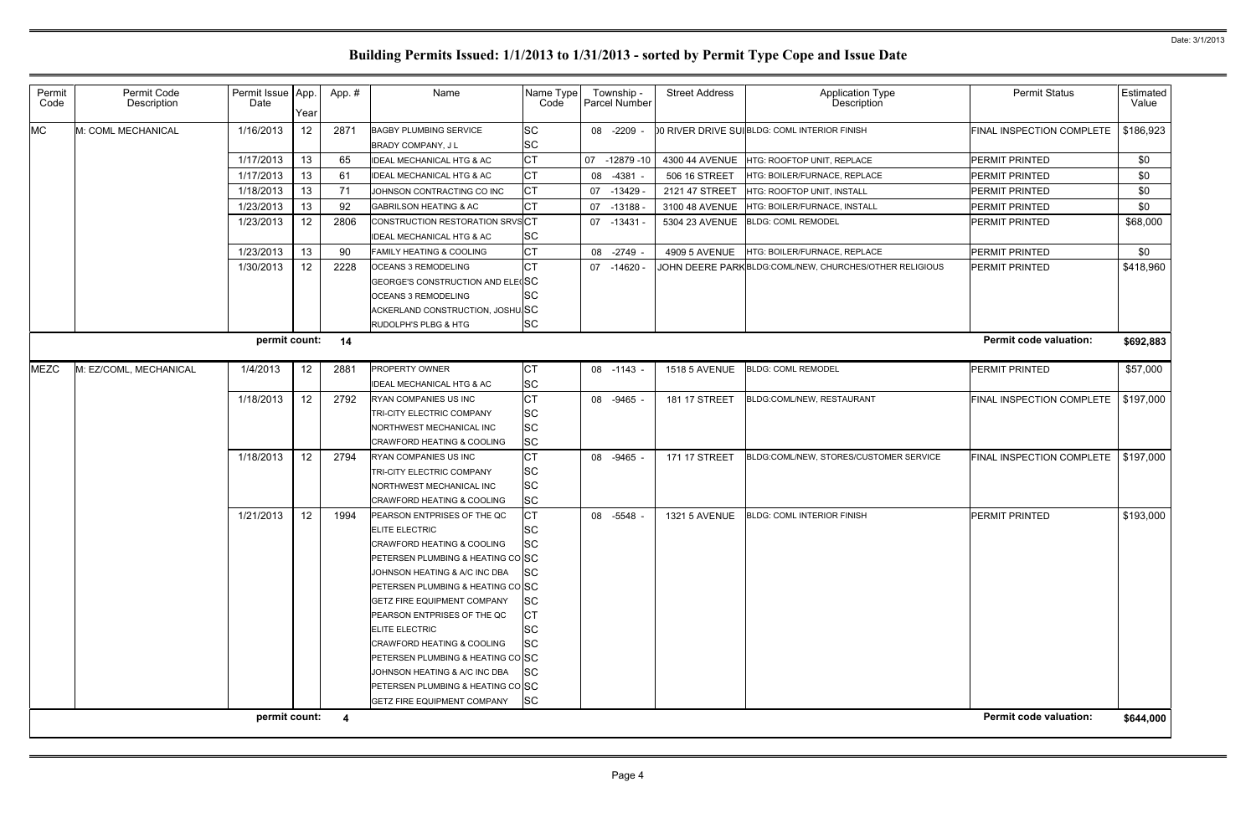| Permit<br>Code | Permit Code<br>Description | Permit Issue   App.<br>Date | Year            | App.#                   | Name                                                                                                                                                                                                                                                                                                                                                                                                                                                                                             | Name Type<br>Code                                                                                                 |    | Township -<br>Parcel Number | <b>Street Address</b> | Application Type<br>Description                          | <b>Permit Status</b>          | Estimated<br>Value |
|----------------|----------------------------|-----------------------------|-----------------|-------------------------|--------------------------------------------------------------------------------------------------------------------------------------------------------------------------------------------------------------------------------------------------------------------------------------------------------------------------------------------------------------------------------------------------------------------------------------------------------------------------------------------------|-------------------------------------------------------------------------------------------------------------------|----|-----------------------------|-----------------------|----------------------------------------------------------|-------------------------------|--------------------|
| <b>MC</b>      | M: COML MECHANICAL         | 1/16/2013                   | 12              | 2871                    | <b>BAGBY PLUMBING SERVICE</b><br><b>BRADY COMPANY, JL</b>                                                                                                                                                                                                                                                                                                                                                                                                                                        | SC<br><b>SC</b>                                                                                                   |    | 08 -2209                    |                       | 00 RIVER DRIVE SUIBLDG: COML INTERIOR FINISH             | FINAL INSPECTION COMPLETE     | \$186,923          |
|                |                            | 1/17/2013                   | 13              | 65                      | <b>IDEAL MECHANICAL HTG &amp; AC</b>                                                                                                                                                                                                                                                                                                                                                                                                                                                             | Iст                                                                                                               |    | 07 -12879 -10               |                       | 4300 44 AVENUE HTG: ROOFTOP UNIT, REPLACE                | PERMIT PRINTED                | \$0                |
|                |                            | 1/17/2013                   | 13              | 61                      | <b>IDEAL MECHANICAL HTG &amp; AC</b>                                                                                                                                                                                                                                                                                                                                                                                                                                                             | <b>CT</b>                                                                                                         |    | 08 -4381                    | 506 16 STREET         | HTG: BOILER/FURNACE, REPLACE                             | <b>PERMIT PRINTED</b>         | \$0                |
|                |                            | 1/18/2013                   | 13              | 71                      | JOHNSON CONTRACTING CO INC                                                                                                                                                                                                                                                                                                                                                                                                                                                                       | Iст                                                                                                               |    | 07 -13429                   | 2121 47 STREET        | HTG: ROOFTOP UNIT, INSTALL                               | PERMIT PRINTED                | \$0                |
|                |                            | 1/23/2013                   | 13              | 92                      | <b>GABRILSON HEATING &amp; AC</b>                                                                                                                                                                                                                                                                                                                                                                                                                                                                | <b>CT</b>                                                                                                         |    | 07 -13188                   | 3100 48 AVENUE        | HTG: BOILER/FURNACE, INSTALL                             | PERMIT PRINTED                | \$0                |
|                |                            | 1/23/2013                   | 12              | 2806                    | CONSTRUCTION RESTORATION SRVSCT<br><b>IDEAL MECHANICAL HTG &amp; AC</b>                                                                                                                                                                                                                                                                                                                                                                                                                          | <b>SC</b>                                                                                                         |    | $07 - 13431$                |                       | 5304 23 AVENUE  BLDG: COML REMODEL                       | PERMIT PRINTED                | \$68,000           |
|                |                            | 1/23/2013                   | 13              | 90                      | <b>FAMILY HEATING &amp; COOLING</b>                                                                                                                                                                                                                                                                                                                                                                                                                                                              | <b>CT</b>                                                                                                         |    | 08 -2749 -                  | 4909 5 AVENUE         | HTG: BOILER/FURNACE, REPLACE                             | PERMIT PRINTED                | \$0                |
|                |                            | 1/30/2013                   | 12 <sup>2</sup> | 2228                    | <b>OCEANS 3 REMODELING</b><br>GEORGE'S CONSTRUCTION AND ELECSC<br><b>OCEANS 3 REMODELING</b><br>ACKERLAND CONSTRUCTION, JOSHU.SC<br>RUDOLPH'S PLBG & HTG                                                                                                                                                                                                                                                                                                                                         | <b>ICT</b><br>SC<br><b>SC</b>                                                                                     |    | 07 -14620                   |                       | JOHN DEERE PARK BLDG: COMLINEW, CHURCHES/OTHER RELIGIOUS | <b>PERMIT PRINTED</b>         | \$418,960          |
|                |                            | permit count:               |                 | 14                      |                                                                                                                                                                                                                                                                                                                                                                                                                                                                                                  |                                                                                                                   |    |                             |                       |                                                          | <b>Permit code valuation:</b> | \$692,883          |
| <b>MEZC</b>    | M: EZ/COML, MECHANICAL     | 1/4/2013                    | 12              | 2881                    | <b>PROPERTY OWNER</b><br><b>IDEAL MECHANICAL HTG &amp; AC</b>                                                                                                                                                                                                                                                                                                                                                                                                                                    | <b>CT</b><br><b>SC</b>                                                                                            |    | 08 -1143 -                  | <b>1518 5 AVENUE</b>  | <b>BLDG: COML REMODEL</b>                                | PERMIT PRINTED                | \$57,000           |
|                |                            | 1/18/2013                   | 12              | 2792                    | RYAN COMPANIES US INC<br>TRI-CITY ELECTRIC COMPANY<br>NORTHWEST MECHANICAL INC<br><b>CRAWFORD HEATING &amp; COOLING</b>                                                                                                                                                                                                                                                                                                                                                                          | <b>CT</b><br><b>SC</b><br><b>SC</b><br><b>SC</b>                                                                  | 08 | -9465                       | 181 17 STREET         | BLDG:COML/NEW, RESTAURANT                                | FINAL INSPECTION COMPLETE     | \$197,000          |
|                |                            | 1/18/2013                   | 12 <sup>°</sup> | 2794                    | <b>RYAN COMPANIES US INC</b><br>TRI-CITY ELECTRIC COMPANY<br>NORTHWEST MECHANICAL INC<br>CRAWFORD HEATING & COOLING                                                                                                                                                                                                                                                                                                                                                                              | <b>CT</b><br><b>SC</b><br><b>SC</b><br><b>SC</b>                                                                  |    | 08 -9465                    | <b>171 17 STREET</b>  | BLDG:COML/NEW, STORES/CUSTOMER SERVICE                   | FINAL INSPECTION COMPLETE     | \$197,000          |
|                |                            | 1/21/2013                   | 12 <sup>°</sup> | 1994                    | PEARSON ENTPRISES OF THE QC<br><b>ELITE ELECTRIC</b><br><b>CRAWFORD HEATING &amp; COOLING</b><br>PETERSEN PLUMBING & HEATING CO SC<br>JOHNSON HEATING & A/C INC DBA<br>PETERSEN PLUMBING & HEATING CO SC<br><b>GETZ FIRE EQUIPMENT COMPANY</b><br>PEARSON ENTPRISES OF THE QC<br><b>ELITE ELECTRIC</b><br><b>CRAWFORD HEATING &amp; COOLING</b><br>PETERSEN PLUMBING & HEATING CO SC<br>JOHNSON HEATING & A/C INC DBA<br>PETERSEN PLUMBING & HEATING CO SC<br><b>GETZ FIRE EQUIPMENT COMPANY</b> | СT<br><b>SC</b><br><b>SC</b><br><b>SC</b><br><b>SC</b><br>IСТ<br><b>SC</b><br><b>SC</b><br><b>SC</b><br><b>SC</b> |    | 08 -5548                    | <b>1321 5 AVENUE</b>  | <b>BLDG: COML INTERIOR FINISH</b>                        | <b>PERMIT PRINTED</b>         | \$193,000          |
|                |                            | permit count:               |                 | $\overline{\mathbf{4}}$ |                                                                                                                                                                                                                                                                                                                                                                                                                                                                                                  |                                                                                                                   |    |                             |                       |                                                          | <b>Permit code valuation:</b> | \$644,000          |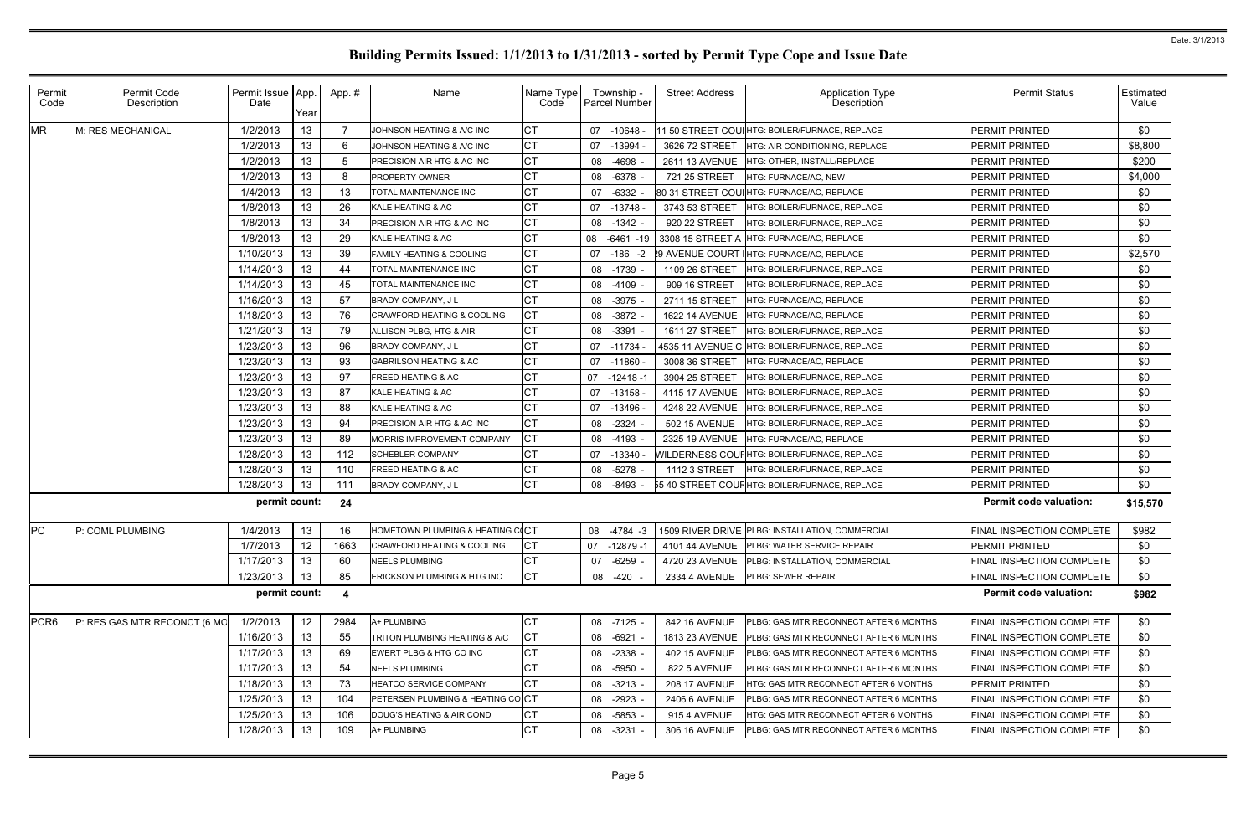| Permit<br>Code   | Permit Code<br>Description   | Permit Issue   App.<br>Date | Year            | App.# | Name                                  | Name Type<br>Code | Township -<br><b>Parcel Number</b> | <b>Street Address</b> | <b>Application Type</b><br>Description          | <b>Permit Status</b>             | Estimated<br>Value |
|------------------|------------------------------|-----------------------------|-----------------|-------|---------------------------------------|-------------------|------------------------------------|-----------------------|-------------------------------------------------|----------------------------------|--------------------|
| <b>MR</b>        | M: RES MECHANICAL            | 1/2/2013                    | 13              |       | JOHNSON HEATING & A/C INC             | СT                | 07 -10648                          |                       | 11 50 STREET COUIHTG: BOILER/FURNACE, REPLACE   | PERMIT PRINTED                   | \$0                |
|                  |                              | 1/2/2013                    | 13              | 6     | JOHNSON HEATING & A/C INC             | <b>CT</b>         | -13994<br>07                       | 3626 72 STREET        | <b>HTG: AIR CONDITIONING. REPLACE</b>           | <b>PERMIT PRINTED</b>            | \$8,800            |
|                  |                              | 1/2/2013                    | 13              | -5    | PRECISION AIR HTG & AC INC            | <b>CT</b>         | -4698<br>08                        | 2611 13 AVENUE        | HTG: OTHER, INSTALL/REPLACE                     | <b>PERMIT PRINTED</b>            | \$200              |
|                  |                              | 1/2/2013                    | 13              | 8     | <b>PROPERTY OWNER</b>                 | <b>CT</b>         | $-6378$<br>08                      | 721 25 STREET         | HTG: FURNACE/AC, NEW                            | <b>PERMIT PRINTED</b>            | \$4,000            |
|                  |                              | 1/4/2013                    | 13              | 13    | <b>TOTAL MAINTENANCE INC</b>          | СT                | -6332<br>07                        |                       | 80 31 STREET COUIHTG: FURNACE/AC, REPLACE       | PERMIT PRINTED                   | \$0                |
|                  |                              | 1/8/2013                    | 13              | 26    | KALE HEATING & AC                     | <b>CT</b>         | $-13748$<br>07                     | 3743 53 STREET        | HTG: BOILER/FURNACE. REPLACE                    | PERMIT PRINTED                   | \$0                |
|                  |                              | 1/8/2013                    | 13              | 34    | PRECISION AIR HTG & AC INC            | <b>CT</b>         | $-1342 -$<br>08                    | 920 22 STREET         | HTG: BOILER/FURNACE, REPLACE                    | PERMIT PRINTED                   | \$0                |
|                  |                              | 1/8/2013                    | 13              | 29    | KALE HEATING & AC                     | <b>CT</b>         | 08 -6461 -19                       |                       | 3308 15 STREET A HTG: FURNACE/AC, REPLACE       | <b>PERMIT PRINTED</b>            | \$0                |
|                  |                              | 1/10/2013                   | 13              | 39    | <b>FAMILY HEATING &amp; COOLING</b>   | СT                | 07 -186 -2                         |                       | !9 AVENUE COURT IHTG: FURNACE/AC, REPLACE       | PERMIT PRINTED                   | \$2,570            |
|                  |                              | 1/14/2013                   | 13              | 44    | TOTAL MAINTENANCE INC                 | <b>CT</b>         | 08 -1739                           | 1109 26 STREET        | HTG: BOILER/FURNACE, REPLACE                    | PERMIT PRINTED                   | \$0                |
|                  |                              | 1/14/2013                   | 13              | 45    | TOTAL MAINTENANCE INC                 | <b>CT</b>         | 08<br>-4109                        | 909 16 STREET         | HTG: BOILER/FURNACE, REPLACE                    | PERMIT PRINTED                   | \$0                |
|                  |                              | 1/16/2013                   | 13              | 57    | <b>BRADY COMPANY, JL</b>              | <b>CT</b>         | $-3975$<br>08                      | 2711 15 STREET        | HTG: FURNACE/AC, REPLACE                        | PERMIT PRINTED                   | \$0                |
|                  |                              | 1/18/2013                   | 13              | 76    | <b>CRAWFORD HEATING &amp; COOLING</b> | СT                | $-3872$<br>08                      | <b>1622 14 AVENUE</b> | HTG: FURNACE/AC, REPLACE                        | PERMIT PRINTED                   | \$0                |
|                  |                              | 1/21/2013                   | 13              | 79    | ALLISON PLBG, HTG & AIR               | <b>CT</b>         | $-3391$<br>08                      | 1611 27 STREET        | HTG: BOILER/FURNACE, REPLACE                    | PERMIT PRINTED                   | \$0                |
|                  |                              | 1/23/2013                   | 13              | 96    | <b>BRADY COMPANY, JL</b>              | <b>CT</b>         | 07 -11734                          |                       |                                                 | PERMIT PRINTED                   | \$0                |
|                  |                              | 1/23/2013                   | 13              | 93    | <b>GABRILSON HEATING &amp; AC</b>     | <b>CT</b>         | $-11860$<br>07                     | 3008 36 STREET        | HTG: FURNACE/AC, REPLACE                        | <b>PERMIT PRINTED</b>            | \$0                |
|                  |                              | 1/23/2013                   | 13              | 97    | FREED HEATING & AC                    | <b>CT</b>         | $07 - 12418 - 1$                   | 3904 25 STREET        | HTG: BOILER/FURNACE, REPLACE                    | PERMIT PRINTED                   | \$0                |
|                  |                              | 1/23/2013                   | 13              | 87    | KALE HEATING & AC                     | <b>CT</b>         | 07<br>-13158                       | 4115 17 AVENUE        | HTG: BOILER/FURNACE, REPLACE                    | <b>PERMIT PRINTED</b>            | \$0                |
|                  |                              | 1/23/2013                   | 13              | 88    | <b>KALE HEATING &amp; AC</b>          | СT                | 07 -13496                          | 4248 22 AVENUE        | <b>HTG: BOILER/FURNACE, REPLACE</b>             | PERMIT PRINTED                   | \$0                |
|                  |                              | 1/23/2013                   | 13              | 94    | PRECISION AIR HTG & AC INC            | <b>CT</b>         | $-2324$<br>08                      | 502 15 AVENUE         | HTG: BOILER/FURNACE, REPLACE                    | PERMIT PRINTED                   | \$0                |
|                  |                              | 1/23/2013                   | 13              | 89    | MORRIS IMPROVEMENT COMPANY            | СT                | 08<br>-4193                        | 2325 19 AVENUE        | HTG: FURNACE/AC, REPLACE                        | PERMIT PRINTED                   | \$0                |
|                  |                              | 1/28/2013                   | 13              | 112   | <b>SCHEBLER COMPANY</b>               | <b>CT</b>         | $-13340$ $-$<br>07                 |                       | WILDERNESS COUF HTG: BOILER/FURNACE, REPLACE    | PERMIT PRINTED                   | \$0                |
|                  |                              | 1/28/2013                   | 13              | 110   | <b>FREED HEATING &amp; AC</b>         | <b>CT</b>         | $-5278$<br>08                      | 1112 3 STREET         | HTG: BOILER/FURNACE, REPLACE                    | PERMIT PRINTED                   | \$0                |
|                  |                              | 1/28/2013                   | 13              | 111   | <b>BRADY COMPANY, JL</b>              | <b>CT</b>         | -8493<br>08                        |                       | 55 40 STREET COUF HTG: BOILER/FURNACE, REPLACE  | PERMIT PRINTED                   | \$0                |
|                  |                              | permit count:               |                 | 24    |                                       |                   |                                    |                       |                                                 | <b>Permit code valuation:</b>    | \$15,570           |
| PC               | P: COML PLUMBING             | 1/4/2013                    | 13              | 16    | HOMETOWN PLUMBING & HEATING COCT      |                   | 08 -4784 -3                        |                       | 1509 RIVER DRIVE PLBG: INSTALLATION, COMMERCIAL | <b>FINAL INSPECTION COMPLETE</b> | \$982              |
|                  |                              | 1/7/2013                    | 12 <sub>2</sub> | 1663  | CRAWFORD HEATING & COOLING            | IСT               | 07 -12879 -1                       |                       | 4101 44 AVENUE   PLBG: WATER SERVICE REPAIR     | <b>PERMIT PRINTED</b>            | \$0                |
|                  |                              | 1/17/2013                   | 13              | 60    | <b>NEELS PLUMBING</b>                 | СT                | 07 -6259                           | 4720 23 AVENUE        | PLBG: INSTALLATION, COMMERCIAL                  | FINAL INSPECTION COMPLETE        | \$0                |
|                  |                              | 1/23/2013                   | 13              | 85    | ERICKSON PLUMBING & HTG INC           | <b>CT</b>         | $-420$<br>08                       | 2334 4 AVENUE         | PLBG: SEWER REPAIR                              | FINAL INSPECTION COMPLETE        | \$0                |
|                  |                              | permit count:               |                 | -4    |                                       |                   |                                    |                       |                                                 | <b>Permit code valuation:</b>    | \$982              |
| PCR <sub>6</sub> | P: RES GAS MTR RECONCT (6 MO | 1/2/2013                    | 12              | 2984  | A+ PLUMBING                           | СT                | 08 -7125 -                         | 842 16 AVENUE         | PLBG: GAS MTR RECONNECT AFTER 6 MONTHS          | FINAL INSPECTION COMPLETE        | \$0                |
|                  |                              | 1/16/2013                   | 13              | 55    | TRITON PLUMBING HEATING & A/C         | СT                | 08 -6921                           | 1813 23 AVENUE        | PLBG: GAS MTR RECONNECT AFTER 6 MONTHS          | FINAL INSPECTION COMPLETE        | \$0                |
|                  |                              | 1/17/2013                   | 13              | 69    | EWERT PLBG & HTG CO INC               | СT                | 08 -2338 -                         | <b>402 15 AVENUE</b>  | PLBG: GAS MTR RECONNECT AFTER 6 MONTHS          | FINAL INSPECTION COMPLETE        | \$0                |
|                  |                              | 1/17/2013                   | 13              | 54    | <b>NEELS PLUMBING</b>                 | <b>CT</b>         | 08 -5950 -                         | 822 5 AVENUE          | PLBG: GAS MTR RECONNECT AFTER 6 MONTHS          | FINAL INSPECTION COMPLETE        | \$0                |
|                  |                              | 1/18/2013                   | 13              | 73    | HEATCO SERVICE COMPANY                | <b>CT</b>         | 08 -3213 -                         | <b>208 17 AVENUE</b>  | HTG: GAS MTR RECONNECT AFTER 6 MONTHS           | <b>PERMIT PRINTED</b>            | \$0                |
|                  |                              | 1/25/2013                   | 13              | 104   | PETERSEN PLUMBING & HEATING COCT      |                   | 08 -2923                           | 2406 6 AVENUE         | PLBG: GAS MTR RECONNECT AFTER 6 MONTHS          | FINAL INSPECTION COMPLETE        | \$0                |
|                  |                              | 1/25/2013                   | 13              | 106   | DOUG'S HEATING & AIR COND             | СT                | $-5853 -$<br>08                    | 915 4 AVENUE          | HTG: GAS MTR RECONNECT AFTER 6 MONTHS           | FINAL INSPECTION COMPLETE        | \$0                |
|                  |                              | 1/28/2013                   | 13              | 109   | A+ PLUMBING                           | IСТ               | -3231<br>08                        | 306 16 AVENUE         | PLBG: GAS MTR RECONNECT AFTER 6 MONTHS          | FINAL INSPECTION COMPLETE        | \$0                |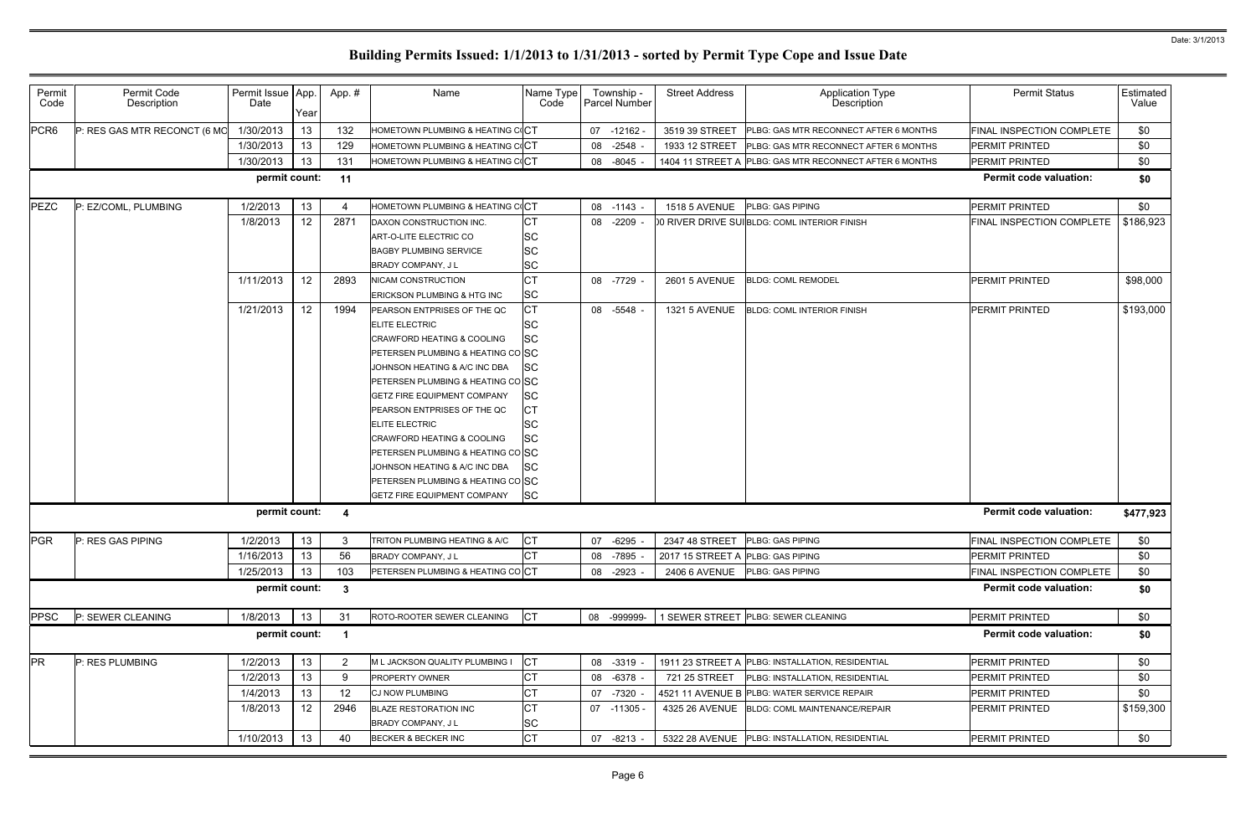| Permit<br>Code   | Permit Code<br>Description   | Permit Issue   App.<br>Date | Year            | App.#        | Name                                   | Name Type<br>Code |    | Township -<br>Parcel Number | <b>Street Address</b>             | <b>Application Type</b><br>Description                  | <b>Permit Status</b>          | Estimated<br>Value |
|------------------|------------------------------|-----------------------------|-----------------|--------------|----------------------------------------|-------------------|----|-----------------------------|-----------------------------------|---------------------------------------------------------|-------------------------------|--------------------|
| PCR <sub>6</sub> | P: RES GAS MTR RECONCT (6 MO | 1/30/2013                   | 13              | 132          | HOMETOWN PLUMBING & HEATING COCT       |                   |    | 07 -12162                   | 3519 39 STREET                    | <b>PLBG: GAS MTR RECONNECT AFTER 6 MONTHS</b>           | FINAL INSPECTION COMPLETE     | \$0                |
|                  |                              | 1/30/2013                   | 13              | 129          | HOMETOWN PLUMBING & HEATING COCT       |                   | 08 | $-2548$                     | 1933 12 STREET                    | <b>PLBG: GAS MTR RECONNECT AFTER 6 MONTHS</b>           | <b>PERMIT PRINTED</b>         | \$0                |
|                  |                              | 1/30/2013                   | 13              | 131          | HOMETOWN PLUMBING & HEATING COCT       |                   |    | 08 -8045                    |                                   | 1404 11 STREET A PLBG: GAS MTR RECONNECT AFTER 6 MONTHS | <b>PERMIT PRINTED</b>         | \$0                |
|                  |                              | permit count:               |                 | $-11$        |                                        |                   |    |                             |                                   |                                                         | <b>Permit code valuation:</b> | \$0                |
| PEZC             | P: EZ/COML, PLUMBING         | 1/2/2013                    | 13              |              | HOMETOWN PLUMBING & HEATING COCT       |                   |    | 08 -1143 -                  | <b>1518 5 AVENUE</b>              | <b>PLBG: GAS PIPING</b>                                 | <b>PERMIT PRINTED</b>         | \$0                |
|                  |                              | 1/8/2013                    | 12 <sub>2</sub> | 2871         | DAXON CONSTRUCTION INC.                | <b>CT</b>         |    | 08 -2209                    |                                   | 00 RIVER DRIVE SUIBLDG: COML INTERIOR FINISH            | FINAL INSPECTION COMPLETE     | \$186,923          |
|                  |                              |                             |                 |              | ART-O-LITE ELECTRIC CO                 | <b>SC</b>         |    |                             |                                   |                                                         |                               |                    |
|                  |                              |                             |                 |              | <b>BAGBY PLUMBING SERVICE</b>          | <b>SC</b>         |    |                             |                                   |                                                         |                               |                    |
|                  |                              |                             |                 |              | <b>BRADY COMPANY, JL</b>               | <b>SC</b>         |    |                             |                                   |                                                         |                               |                    |
|                  |                              | 1/11/2013                   | 12 <sub>2</sub> | 2893         | <b>NICAM CONSTRUCTION</b>              | <b>CT</b>         |    | 08 -7729                    | <b>2601 5 AVENUE</b>              | <b>BLDG: COML REMODEL</b>                               | <b>PERMIT PRINTED</b>         | \$98,000           |
|                  |                              |                             |                 |              | <b>ERICKSON PLUMBING &amp; HTG INC</b> | <b>SC</b>         |    |                             |                                   |                                                         |                               |                    |
|                  |                              | 1/21/2013                   | 12 <sup>2</sup> | 1994         | PEARSON ENTPRISES OF THE QC            | СT                |    | 08 -5548                    | 1321 5 AVENUE                     | <b>BLDG: COML INTERIOR FINISH</b>                       | <b>PERMIT PRINTED</b>         | \$193,000          |
|                  |                              |                             |                 |              | <b>ELITE ELECTRIC</b>                  | SС                |    |                             |                                   |                                                         |                               |                    |
|                  |                              |                             |                 |              | <b>CRAWFORD HEATING &amp; COOLING</b>  | <b>SC</b>         |    |                             |                                   |                                                         |                               |                    |
|                  |                              |                             |                 |              | PETERSEN PLUMBING & HEATING COSC       |                   |    |                             |                                   |                                                         |                               |                    |
|                  |                              |                             |                 |              | JOHNSON HEATING & A/C INC DBA          | <b>SC</b>         |    |                             |                                   |                                                         |                               |                    |
|                  |                              |                             |                 |              | PETERSEN PLUMBING & HEATING CO SC      |                   |    |                             |                                   |                                                         |                               |                    |
|                  |                              |                             |                 |              | <b>GETZ FIRE EQUIPMENT COMPANY</b>     | <b>SC</b>         |    |                             |                                   |                                                         |                               |                    |
|                  |                              |                             |                 |              | PEARSON ENTPRISES OF THE QC            | СT                |    |                             |                                   |                                                         |                               |                    |
|                  |                              |                             |                 |              | <b>ELITE ELECTRIC</b>                  | SC                |    |                             |                                   |                                                         |                               |                    |
|                  |                              |                             |                 |              | CRAWFORD HEATING & COOLING             | SC                |    |                             |                                   |                                                         |                               |                    |
|                  |                              |                             |                 |              | PETERSEN PLUMBING & HEATING CO SC      |                   |    |                             |                                   |                                                         |                               |                    |
|                  |                              |                             |                 |              | JOHNSON HEATING & A/C INC DBA          | <b>SC</b>         |    |                             |                                   |                                                         |                               |                    |
|                  |                              |                             |                 |              | PETERSEN PLUMBING & HEATING CO SC      |                   |    |                             |                                   |                                                         |                               |                    |
|                  |                              |                             |                 |              | <b>GETZ FIRE EQUIPMENT COMPANY</b>     | <b>SC</b>         |    |                             |                                   |                                                         |                               |                    |
|                  |                              | permit count:               |                 | -4           |                                        |                   |    |                             |                                   |                                                         | <b>Permit code valuation:</b> | \$477,923          |
| PGR              | P: RES GAS PIPING            | 1/2/2013                    | 13              | $\mathbf{3}$ | TRITON PLUMBING HEATING & A/C          | CT                |    | 07 -6295                    | 2347 48 STREET PLBG: GAS PIPING   |                                                         | FINAL INSPECTION COMPLETE     | \$0                |
|                  |                              | 1/16/2013                   | 13              | 56           | BRADY COMPANY, J L                     | Iст               |    | 08 -7895                    | 2017 15 STREET A PLBG: GAS PIPING |                                                         | <b>PERMIT PRINTED</b>         | \$0                |
|                  |                              | 1/25/2013                   | 13              | 103          | PETERSEN PLUMBING & HEATING COCT       |                   |    | 08 -2923                    | 2406 6 AVENUE                     | <b>PLBG: GAS PIPING</b>                                 | FINAL INSPECTION COMPLETE     | \$0                |
|                  |                              | permit count:               |                 | - 3          |                                        |                   |    |                             |                                   |                                                         | <b>Permit code valuation:</b> | \$0                |
| <b>PPSC</b>      | P: SEWER CLEANING            | 1/8/2013                    | 13              | 31           | ROTO-ROOTER SEWER CLEANING             | <b>CT</b>         |    | 08 -999999-                 |                                   | 1 SEWER STREET PLBG: SEWER CLEANING                     | <b>PERMIT PRINTED</b>         | \$0                |
|                  |                              | permit count:               |                 | - 1          |                                        |                   |    |                             |                                   |                                                         | <b>Permit code valuation:</b> | \$0                |
| <b>PR</b>        | P: RES PLUMBING              | 1/2/2013                    | 13              | -2           | M L JACKSON QUALITY PLUMBING I         | <b>CT</b>         |    | 08 -3319                    |                                   | 1911 23 STREET A PLBG: INSTALLATION, RESIDENTIAL        | PERMIT PRINTED                | \$0                |
|                  |                              | 1/2/2013                    | 13              | -9           | <b>PROPERTY OWNER</b>                  | <b>CT</b>         |    | 08 -6378                    | 721 25 STREET                     | <b>PLBG: INSTALLATION, RESIDENTIAL</b>                  | <b>PERMIT PRINTED</b>         | \$0                |
|                  |                              | 1/4/2013                    | 13              | 12           | <b>CJ NOW PLUMBING</b>                 | <b>CT</b>         |    | 07 -7320                    |                                   | 4521 11 AVENUE B PLBG: WATER SERVICE REPAIR             | <b>PERMIT PRINTED</b>         | \$0                |
|                  |                              | 1/8/2013                    | 12 <sup>°</sup> | 2946         | <b>BLAZE RESTORATION INC</b>           | <b>CT</b>         |    | 07 -11305 -                 |                                   | 4325 26 AVENUE   BLDG: COML MAINTENANCE/REPAIR          | <b>PERMIT PRINTED</b>         | \$159,300          |
|                  |                              |                             |                 |              | BRADY COMPANY, J L                     | <b>SC</b>         |    |                             |                                   |                                                         |                               |                    |
|                  |                              | 1/10/2013                   | 13              | 40           | BECKER & BECKER INC                    | <b>CT</b>         |    | 07 -8213                    |                                   | 5322 28 AVENUE PLBG: INSTALLATION, RESIDENTIAL          | <b>PERMIT PRINTED</b>         | \$0                |